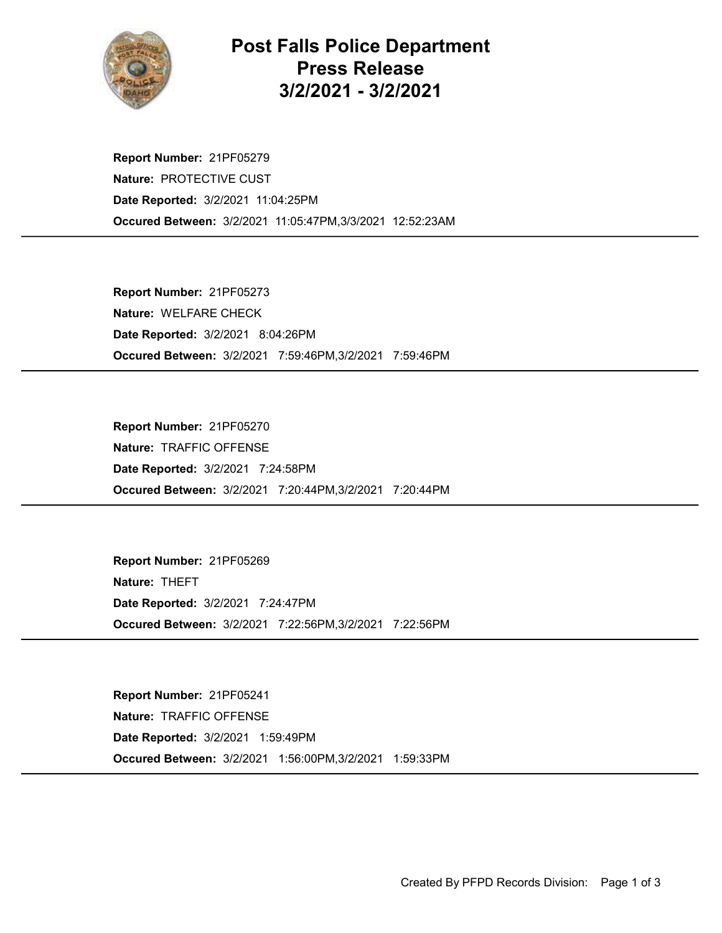

## Post Falls Police Department Press Release 3/2/2021 - 3/2/2021

Occured Between: 3/2/2021 11:05:47PM,3/3/2021 12:52:23AM Report Number: 21PF05279 Nature: PROTECTIVE CUST Date Reported: 3/2/2021 11:04:25PM

Occured Between: 3/2/2021 7:59:46PM,3/2/2021 7:59:46PM Report Number: 21PF05273 Nature: WELFARE CHECK Date Reported: 3/2/2021 8:04:26PM

Occured Between: 3/2/2021 7:20:44PM,3/2/2021 7:20:44PM Report Number: 21PF05270 Nature: TRAFFIC OFFENSE Date Reported: 3/2/2021 7:24:58PM

Occured Between: 3/2/2021 7:22:56PM,3/2/2021 7:22:56PM Report Number: 21PF05269 Nature: THEFT Date Reported: 3/2/2021 7:24:47PM

Occured Between: 3/2/2021 1:56:00PM,3/2/2021 1:59:33PM Report Number: 21PF05241 Nature: TRAFFIC OFFENSE Date Reported: 3/2/2021 1:59:49PM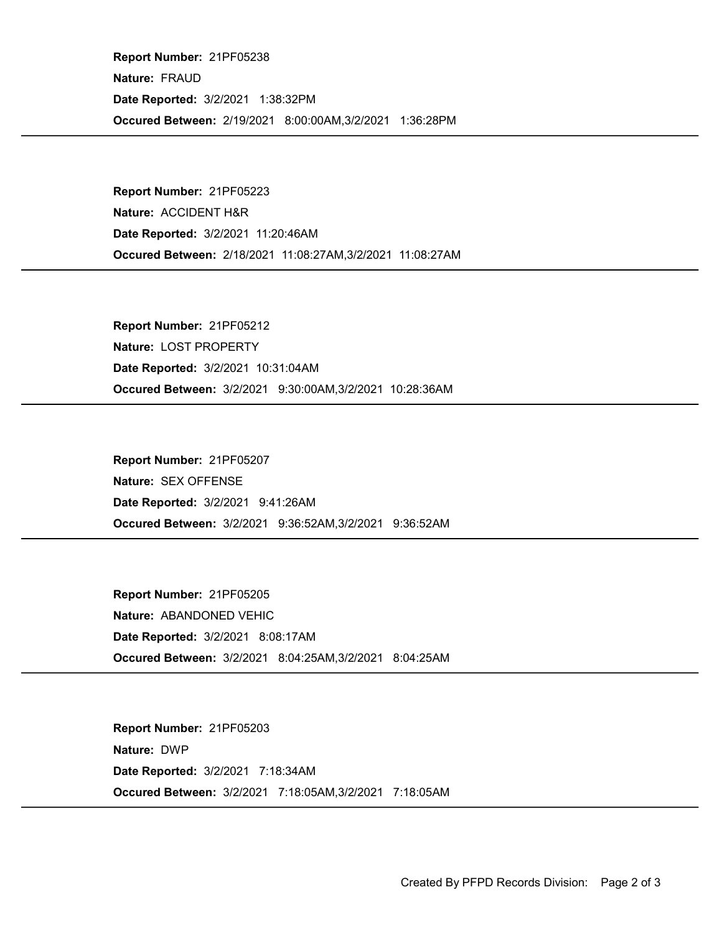Occured Between: 2/19/2021 8:00:00AM,3/2/2021 1:36:28PM Report Number: 21PF05238 Nature: FRAUD Date Reported: 3/2/2021 1:38:32PM

Occured Between: 2/18/2021 11:08:27AM,3/2/2021 11:08:27AM Report Number: 21PF05223 Nature: ACCIDENT H&R Date Reported: 3/2/2021 11:20:46AM

Occured Between: 3/2/2021 9:30:00AM,3/2/2021 10:28:36AM Report Number: 21PF05212 Nature: LOST PROPERTY Date Reported: 3/2/2021 10:31:04AM

Occured Between: 3/2/2021 9:36:52AM,3/2/2021 9:36:52AM Report Number: 21PF05207 Nature: SEX OFFENSE Date Reported: 3/2/2021 9:41:26AM

Occured Between: 3/2/2021 8:04:25AM,3/2/2021 8:04:25AM Report Number: 21PF05205 Nature: ABANDONED VEHIC Date Reported: 3/2/2021 8:08:17AM

Occured Between: 3/2/2021 7:18:05AM,3/2/2021 7:18:05AM Report Number: 21PF05203 Nature: DWP Date Reported: 3/2/2021 7:18:34AM